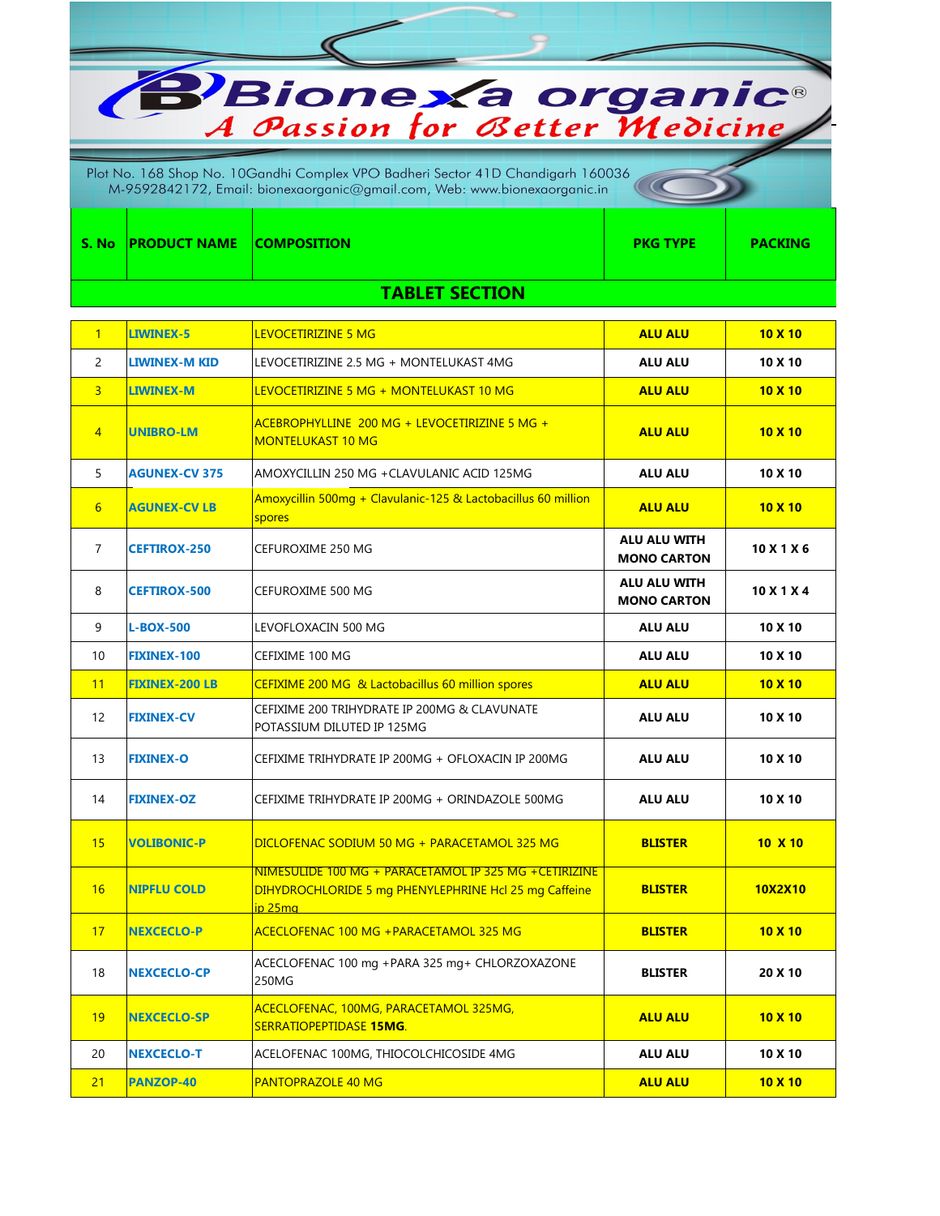Plot No. 168 Shop No. 10Gandhi Complex VPO Badheri Sector 41D Chandigarh 160036

 $\overline{\mathcal{C}}$ M-9592842172, Email: bionexaorganic@gmail.com, Web: www.bionexaorganic.in <u> Karl (Karl III) (Karl III) (Karl III) (Karl III) (Karl III) (Karl III) (Karl III) (Karl III) (Karl III) (Karl III) (Karl III) (Karl III) (Karl III) (Karl III) (Karl III) (Karl III) (Karl III) (Karl III) (Karl III) (Karl </u>

| S. No PRODUCT NAME COMPOSITION |                       | <b>PKG TYPE</b> | <b>PACKING</b> |
|--------------------------------|-----------------------|-----------------|----------------|
|                                | <b>TABLET SECTION</b> |                 |                |
|                                |                       |                 |                |

| $\mathbf{1}$   | <b>LIWINEX-5</b>      | <b>LEVOCETIRIZINE 5 MG</b>                                                                                                 | <b>ALU ALU</b>                     | $10 \times 10$ |
|----------------|-----------------------|----------------------------------------------------------------------------------------------------------------------------|------------------------------------|----------------|
| $\overline{2}$ | <b>LIWINEX-M KID</b>  | LEVOCETIRIZINE 2.5 MG + MONTELUKAST 4MG                                                                                    | <b>ALU ALU</b>                     | 10 X 10        |
| $\overline{3}$ | <b>LIWINEX-M</b>      | LEVOCETIRIZINE 5 MG + MONTELUKAST 10 MG                                                                                    | <b>ALU ALU</b>                     | $10 \times 10$ |
| $\overline{4}$ | <b>UNIBRO-LM</b>      | ACEBROPHYLLINE_200 MG + LEVOCETIRIZINE 5 MG +<br><b>MONTELUKAST 10 MG</b>                                                  | <b>ALU ALU</b>                     | $10 \times 10$ |
| 5              | <b>AGUNEX-CV 375</b>  | AMOXYCILLIN 250 MG +CLAVULANIC ACID 125MG                                                                                  | <b>ALU ALU</b>                     | 10 X 10        |
| 6              | <b>AGUNEX-CV LB</b>   | Amoxycillin 500mg + Clavulanic-125 & Lactobacillus 60 million<br>spores                                                    | <b>ALU ALU</b>                     | $10 \times 10$ |
| $\overline{7}$ | <b>CEFTIROX-250</b>   | CEFUROXIME 250 MG                                                                                                          | ALU ALU WITH<br><b>MONO CARTON</b> | 10 X 1 X 6     |
| 8              | <b>CEFTIROX-500</b>   | CEFUROXIME 500 MG                                                                                                          | ALU ALU WITH<br><b>MONO CARTON</b> | 10 X 1 X 4     |
| 9              | <b>L-BOX-500</b>      | LEVOFLOXACIN 500 MG                                                                                                        | <b>ALU ALU</b>                     | 10 X 10        |
| 10             | <b>FIXINEX-100</b>    | CEFIXIME 100 MG                                                                                                            | <b>ALU ALU</b>                     | 10 X 10        |
| 11             | <b>FIXINEX-200 LB</b> | CEFIXIME 200 MG & Lactobacillus 60 million spores                                                                          | <b>ALU ALU</b>                     | 10 X 10        |
| 12             | <b>FIXINEX-CV</b>     | CEFIXIME 200 TRIHYDRATE IP 200MG & CLAVUNATE<br>POTASSIUM DILUTED IP 125MG                                                 | <b>ALU ALU</b>                     | 10 X 10        |
| 13             | <b>FIXINEX-O</b>      | CEFIXIME TRIHYDRATE IP 200MG + OFLOXACIN IP 200MG                                                                          | <b>ALU ALU</b>                     | 10 X 10        |
| 14             | <b>FIXINEX-OZ</b>     | CEFIXIME TRIHYDRATE IP 200MG + ORINDAZOLE 500MG                                                                            | <b>ALU ALU</b>                     | 10 X 10        |
| 15             | <b>VOLIBONIC-P</b>    | DICLOFENAC SODIUM 50 MG + PARACETAMOL 325 MG                                                                               | <b>BLISTER</b>                     | $10 \times 10$ |
| 16             | <b>NIPFLU COLD</b>    | NIMESULIDE 100 MG + PARACETAMOL IP 325 MG + CETIRIZINE<br>DIHYDROCHLORIDE 5 mg PHENYLEPHRINE Hcl 25 mg Caffeine<br>ip 25ma | <b>BLISTER</b>                     | 10X2X10        |
| 17             | <b>NEXCECLO-P</b>     | ACECLOFENAC 100 MG +PARACETAMOL 325 MG                                                                                     | <b>BLISTER</b>                     | $10 \times 10$ |
| 18             | <b>NEXCECLO-CP</b>    | ACECLOFENAC 100 mg +PARA 325 mg+ CHLORZOXAZONE<br>250MG                                                                    | <b>BLISTER</b>                     | 20 X 10        |
| 19             | <b>NEXCECLO-SP</b>    | ACECLOFENAC, 100MG, PARACETAMOL 325MG,<br><b>SERRATIOPEPTIDASE 15MG.</b>                                                   | <b>ALU ALU</b>                     | $10 \times 10$ |
| 20             | <b>NEXCECLO-T</b>     | ACELOFENAC 100MG, THIOCOLCHICOSIDE 4MG                                                                                     | <b>ALU ALU</b>                     | 10 X 10        |
| 21             | <b>PANZOP-40</b>      | <b>PANTOPRAZOLE 40 MG</b>                                                                                                  | <b>ALU ALU</b>                     | $10 \times 10$ |

**Bione La organic<sup>®</sup>**<br>A *Passion for Better Medicine*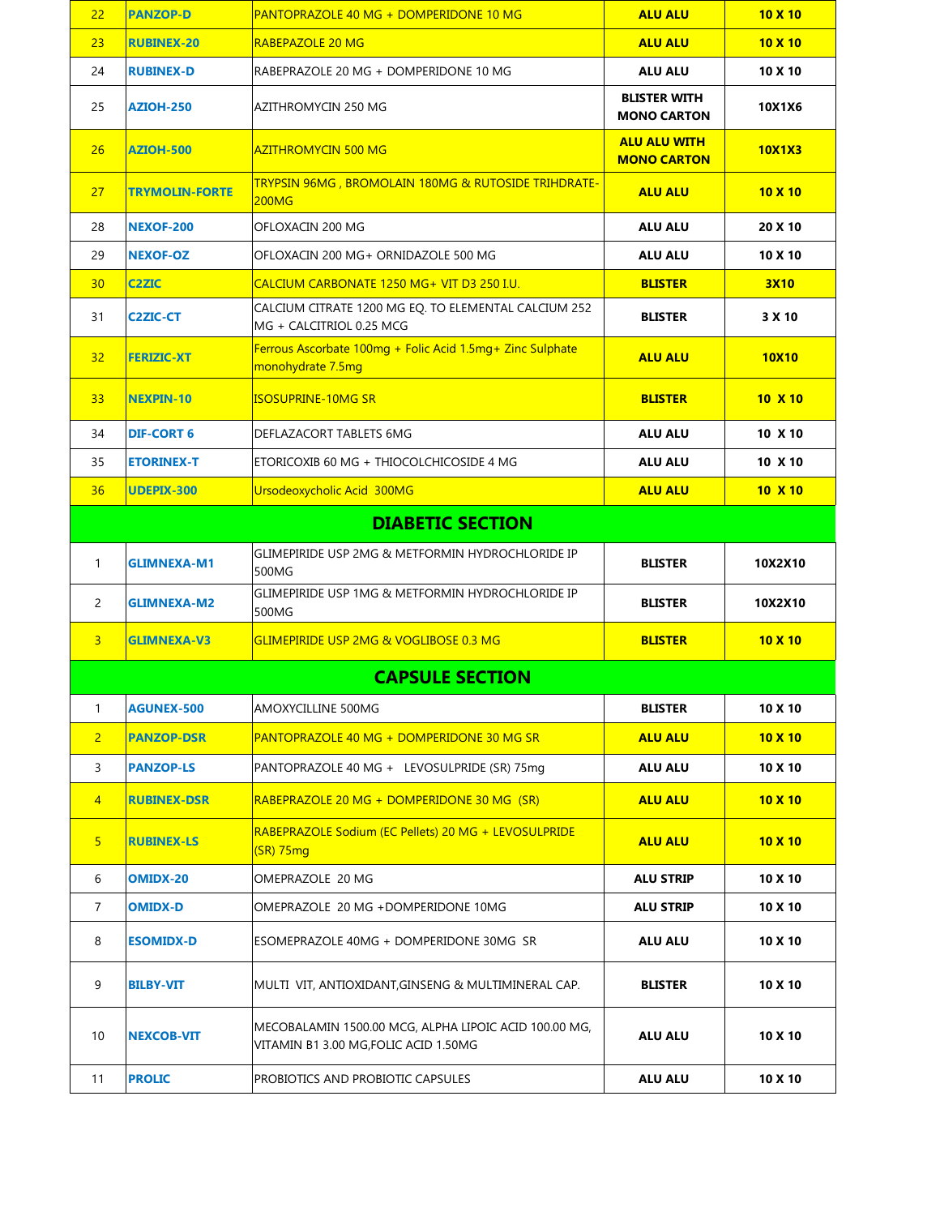| 22             | <b>PANZOP-D</b>       | PANTOPRAZOLE 40 MG + DOMPERIDONE 10 MG                                                         | <b>ALU ALU</b>                            | $10 \times 10$ |
|----------------|-----------------------|------------------------------------------------------------------------------------------------|-------------------------------------------|----------------|
| 23             | <b>RUBINEX-20</b>     | <b>RABEPAZOLE 20 MG</b>                                                                        | <b>ALU ALU</b>                            | 10 X 10        |
| 24             | <b>RUBINEX-D</b>      | RABEPRAZOLE 20 MG + DOMPERIDONE 10 MG                                                          | <b>ALU ALU</b>                            | 10 X 10        |
| 25             | <b>AZIOH-250</b>      | AZITHROMYCIN 250 MG                                                                            | <b>BLISTER WITH</b><br><b>MONO CARTON</b> | 10X1X6         |
| 26             | <b>AZIOH-500</b>      | <b>AZITHROMYCIN 500 MG</b>                                                                     | <b>ALU ALU WITH</b><br><b>MONO CARTON</b> | <b>10X1X3</b>  |
| 27             | <b>TRYMOLIN-FORTE</b> | TRYPSIN 96MG, BROMOLAIN 180MG & RUTOSIDE TRIHDRATE-<br><b>200MG</b>                            | <b>ALU ALU</b>                            | $10 \times 10$ |
| 28             | <b>NEXOF-200</b>      | OFLOXACIN 200 MG                                                                               | <b>ALU ALU</b>                            | 20 X 10        |
| 29             | <b>NEXOF-OZ</b>       | OFLOXACIN 200 MG+ ORNIDAZOLE 500 MG                                                            | <b>ALU ALU</b>                            | 10 X 10        |
| 30             | <b>C2ZIC</b>          | CALCIUM CARBONATE 1250 MG+ VIT D3 250 I.U.                                                     | <b>BLISTER</b>                            | 3X10           |
| 31             | <b>C2ZIC-CT</b>       | CALCIUM CITRATE 1200 MG EQ. TO ELEMENTAL CALCIUM 252<br>MG + CALCITRIOL 0.25 MCG               | <b>BLISTER</b>                            | 3 X 10         |
| 32             | <b>FERIZIC-XT</b>     | Ferrous Ascorbate 100mg + Folic Acid 1.5mg+ Zinc Sulphate<br>monohydrate 7.5mg                 | <b>ALU ALU</b>                            | <b>10X10</b>   |
| 33             | <b>NEXPIN-10</b>      | <b>ISOSUPRINE-10MG SR</b>                                                                      | <b>BLISTER</b>                            | $10 \times 10$ |
| 34             | <b>DIF-CORT 6</b>     | DEFLAZACORT TABLETS 6MG                                                                        | <b>ALU ALU</b>                            | 10 X 10        |
| 35             | <b>ETORINEX-T</b>     | ETORICOXIB 60 MG + THIOCOLCHICOSIDE 4 MG                                                       | <b>ALU ALU</b>                            | 10 X 10        |
| 36             | <b>UDEPIX-300</b>     | Ursodeoxycholic Acid 300MG                                                                     | <b>ALU ALU</b>                            | $10 \times 10$ |
|                |                       | <b>DIABETIC SECTION</b>                                                                        |                                           |                |
| $\mathbf{1}$   | <b>GLIMNEXA-M1</b>    | GLIMEPIRIDE USP 2MG & METFORMIN HYDROCHLORIDE IP<br>500MG                                      | <b>BLISTER</b>                            | 10X2X10        |
| 2              | <b>GLIMNEXA-M2</b>    | GLIMEPIRIDE USP 1MG & METFORMIN HYDROCHLORIDE IP<br>500MG                                      | <b>BLISTER</b>                            | 10X2X10        |
| $\overline{3}$ | <b>GLIMNEXA-V3</b>    | <b>GLIMEPIRIDE USP 2MG &amp; VOGLIBOSE 0.3 MG</b>                                              | <b>BLISTER</b>                            | $10 \times 10$ |
|                |                       | <b>CAPSULE SECTION</b>                                                                         |                                           |                |
| 1              | <b>AGUNEX-500</b>     | AMOXYCILLINE 500MG                                                                             | <b>BLISTER</b>                            | 10 X 10        |
| $\overline{2}$ | <b>PANZOP-DSR</b>     | PANTOPRAZOLE 40 MG + DOMPERIDONE 30 MG SR                                                      | <b>ALU ALU</b>                            | $10 \times 10$ |
| 3              | <b>PANZOP-LS</b>      | PANTOPRAZOLE 40 MG + LEVOSULPRIDE (SR) 75mg                                                    | <b>ALU ALU</b>                            | 10 X 10        |
| $\overline{4}$ | <b>RUBINEX-DSR</b>    | RABEPRAZOLE 20 MG + DOMPERIDONE 30 MG (SR)                                                     | <b>ALU ALU</b>                            | $10 \times 10$ |
| $5\phantom{a}$ | <b>RUBINEX-LS</b>     | RABEPRAZOLE Sodium (EC Pellets) 20 MG + LEVOSULPRIDE<br>$(SR)$ 75mg                            | <b>ALU ALU</b>                            | $10 \times 10$ |
| 6              | OMIDX-20              | OMEPRAZOLE 20 MG                                                                               | <b>ALU STRIP</b>                          | 10 X 10        |
| $\overline{7}$ | <b>OMIDX-D</b>        | OMEPRAZOLE 20 MG +DOMPERIDONE 10MG                                                             | <b>ALU STRIP</b>                          | 10 X 10        |
| 8              | <b>ESOMIDX-D</b>      | ESOMEPRAZOLE 40MG + DOMPERIDONE 30MG SR                                                        | <b>ALU ALU</b>                            | 10 X 10        |
| 9              | <b>BILBY-VIT</b>      | MULTI VIT, ANTIOXIDANT, GINSENG & MULTIMINERAL CAP.                                            | <b>BLISTER</b>                            | 10 X 10        |
| 10             | <b>NEXCOB-VIT</b>     | MECOBALAMIN 1500.00 MCG, ALPHA LIPOIC ACID 100.00 MG,<br>VITAMIN B1 3.00 MG, FOLIC ACID 1.50MG | <b>ALU ALU</b>                            | 10 X 10        |
| 11             | <b>PROLIC</b>         | PROBIOTICS AND PROBIOTIC CAPSULES                                                              | <b>ALU ALU</b>                            | 10 X 10        |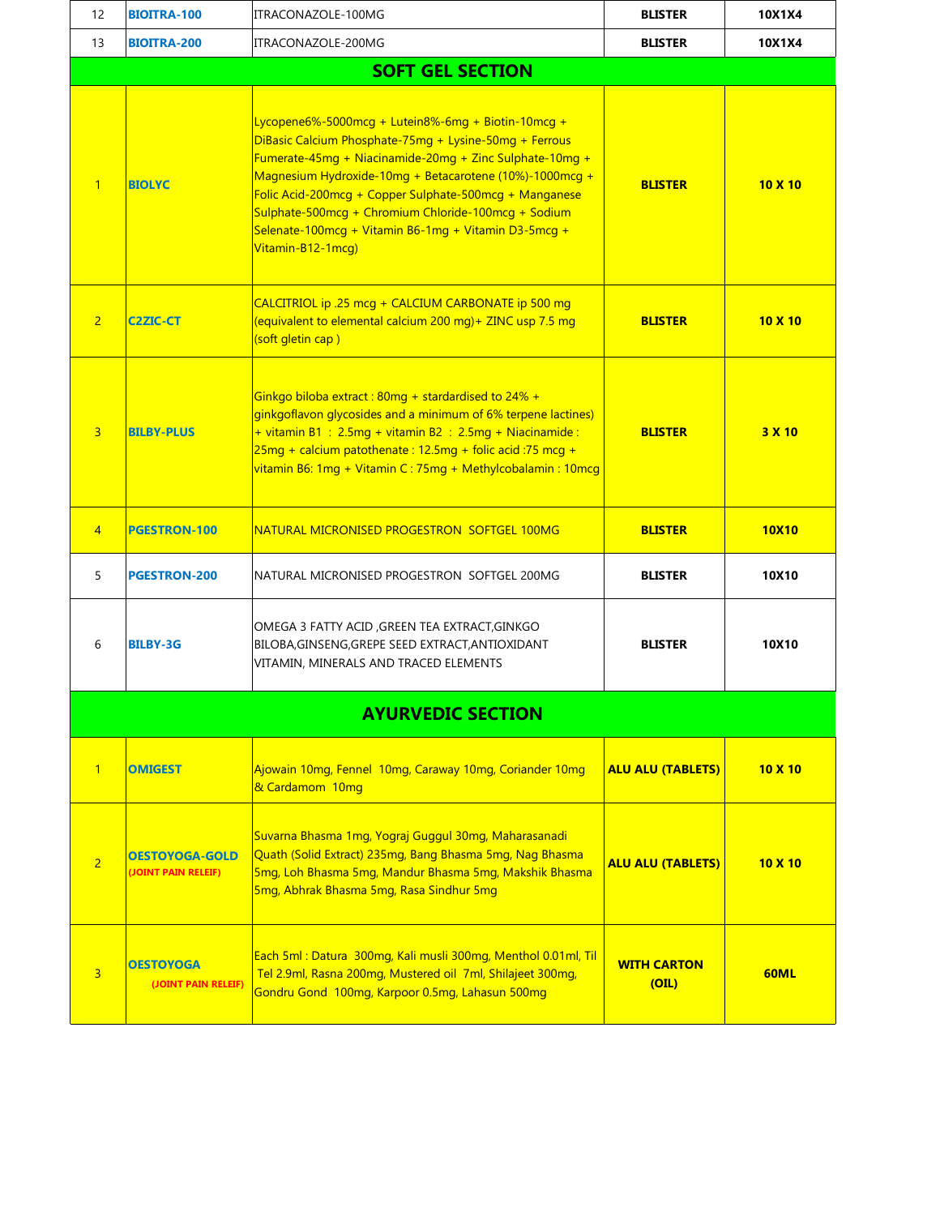| 12             | <b>BIOITRA-100</b>                           | ITRACONAZOLE-100MG                                                                                                                                                                                                                                                                                                                                                                                                               | <b>BLISTER</b>              | 10X1X4         |
|----------------|----------------------------------------------|----------------------------------------------------------------------------------------------------------------------------------------------------------------------------------------------------------------------------------------------------------------------------------------------------------------------------------------------------------------------------------------------------------------------------------|-----------------------------|----------------|
| 13             | <b>BIOITRA-200</b>                           | ITRACONAZOLE-200MG                                                                                                                                                                                                                                                                                                                                                                                                               | <b>BLISTER</b>              | 10X1X4         |
|                |                                              | <b>SOFT GEL SECTION</b>                                                                                                                                                                                                                                                                                                                                                                                                          |                             |                |
| $\mathbf{1}$   | <b>BIOLYC</b>                                | Lycopene6%-5000mcg + Lutein8%-6mg + Biotin-10mcg +<br>DiBasic Calcium Phosphate-75mg + Lysine-50mg + Ferrous<br>Fumerate-45mg + Niacinamide-20mg + Zinc Sulphate-10mg +<br>Magnesium Hydroxide-10mg + Betacarotene (10%)-1000mcg +<br>Folic Acid-200mcg + Copper Sulphate-500mcg + Manganese<br>Sulphate-500mcg + Chromium Chloride-100mcg + Sodium<br>Selenate-100mcg + Vitamin B6-1mg + Vitamin D3-5mcg +<br>Vitamin-B12-1mcg) | <b>BLISTER</b>              | $10 \times 10$ |
| $\overline{2}$ | <b>C2ZIC-CT</b>                              | CALCITRIOL ip .25 mcg + CALCIUM CARBONATE ip 500 mg<br>(equivalent to elemental calcium 200 mg) + ZINC usp 7.5 mg<br>(soft gletin cap)                                                                                                                                                                                                                                                                                           | <b>BLISTER</b>              | $10 \times 10$ |
| $\overline{3}$ | <b>BILBY-PLUS</b>                            | Ginkgo biloba extract: 80mg + stardardised to 24% +<br>ginkgoflavon glycosides and a minimum of 6% terpene lactines)<br>+ vitamin B1 : 2.5mg + vitamin B2 : 2.5mg + Niacinamide :<br>25mg + calcium patothenate: 12.5mg + folic acid: 75 mcg +<br>vitamin B6: 1mg + Vitamin C : 75mg + Methylcobalamin : 10mcg                                                                                                                   | <b>BLISTER</b>              | 3 X 10         |
| $\overline{4}$ | <b>PGESTRON-100</b>                          | NATURAL MICRONISED PROGESTRON SOFTGEL 100MG                                                                                                                                                                                                                                                                                                                                                                                      | <b>BLISTER</b>              | <b>10X10</b>   |
| 5              | <b>PGESTRON-200</b>                          | NATURAL MICRONISED PROGESTRON SOFTGEL 200MG                                                                                                                                                                                                                                                                                                                                                                                      | <b>BLISTER</b>              | 10X10          |
| 6              | <b>BILBY-3G</b>                              | OMEGA 3 FATTY ACID ,GREEN TEA EXTRACT,GINKGO<br>BILOBA, GINSENG, GREPE SEED EXTRACT, ANTIOXIDANT<br>VITAMIN, MINERALS AND TRACED ELEMENTS                                                                                                                                                                                                                                                                                        | <b>BLISTER</b>              | 10X10          |
|                |                                              | <b>AYURVEDIC SECTION</b>                                                                                                                                                                                                                                                                                                                                                                                                         |                             |                |
| $\mathbf{1}$   | <b>OMIGEST</b>                               | Ajowain 10mg, Fennel 10mg, Caraway 10mg, Coriander 10mg<br>& Cardamom 10mg                                                                                                                                                                                                                                                                                                                                                       | <b>ALU ALU (TABLETS)</b>    | $10 \times 10$ |
| $\overline{2}$ | <b>OESTOYOGA-GOLD</b><br>(JOINT PAIN RELEIF) | Suvarna Bhasma 1mg, Yograj Guggul 30mg, Maharasanadi<br>Quath (Solid Extract) 235mg, Bang Bhasma 5mg, Nag Bhasma<br>5mg, Loh Bhasma 5mg, Mandur Bhasma 5mg, Makshik Bhasma<br>5mg, Abhrak Bhasma 5mg, Rasa Sindhur 5mg                                                                                                                                                                                                           | <b>ALU ALU (TABLETS)</b>    | $10 \times 10$ |
| 3              | <b>OESTOYOGA</b><br>(JOINT PAIN RELEIF)      | Each 5ml : Datura 300mg, Kali musli 300mg, Menthol 0.01ml, Til<br>Tel 2.9ml, Rasna 200mg, Mustered oil 7ml, Shilajeet 300mg,<br>Gondru Gond 100mg, Karpoor 0.5mg, Lahasun 500mg                                                                                                                                                                                                                                                  | <b>WITH CARTON</b><br>(OIL) | <b>60ML</b>    |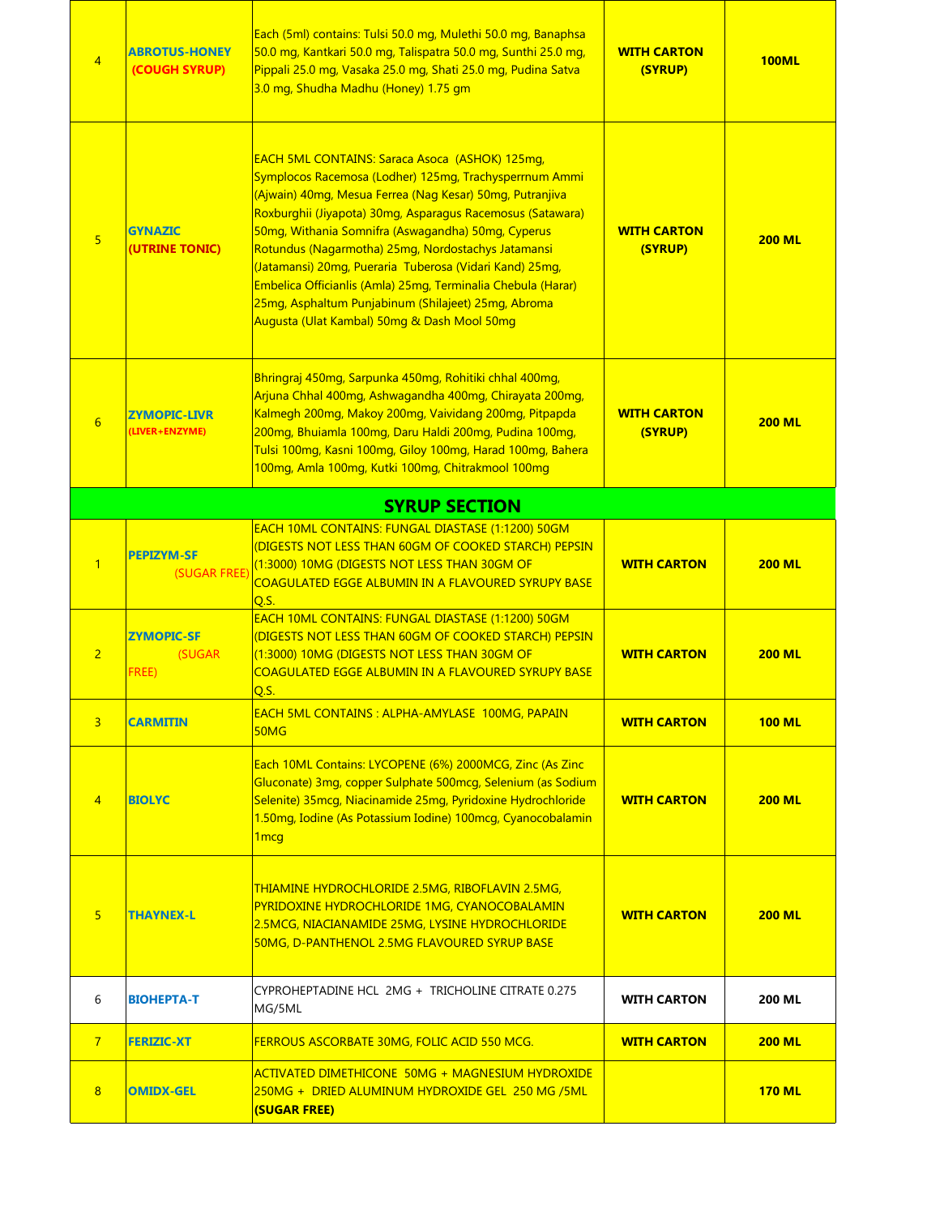| $\overline{4}$  | <b>ABROTUS-HONEY</b><br>(COUGH SYRUP)       | Each (5ml) contains: Tulsi 50.0 mg, Mulethi 50.0 mg, Banaphsa<br>50.0 mg, Kantkari 50.0 mg, Talispatra 50.0 mg, Sunthi 25.0 mg,<br>Pippali 25.0 mg, Vasaka 25.0 mg, Shati 25.0 mg, Pudina Satva<br>3.0 mg, Shudha Madhu (Honey) 1.75 gm                                                                                                                                                                                                                                                                                                                                         | <b>WITH CARTON</b><br>(SYRUP) | <b>100ML</b>  |
|-----------------|---------------------------------------------|---------------------------------------------------------------------------------------------------------------------------------------------------------------------------------------------------------------------------------------------------------------------------------------------------------------------------------------------------------------------------------------------------------------------------------------------------------------------------------------------------------------------------------------------------------------------------------|-------------------------------|---------------|
| $\overline{5}$  | <b>GYNAZIC</b><br>(UTRINE TONIC)            | EACH 5ML CONTAINS: Saraca Asoca (ASHOK) 125mg,<br>Symplocos Racemosa (Lodher) 125mg, Trachysperrnum Ammi<br>(Ajwain) 40mg, Mesua Ferrea (Nag Kesar) 50mg, Putranjiva<br>Roxburghii (Jiyapota) 30mg, Asparagus Racemosus (Satawara)<br>50mg, Withania Somnifra (Aswagandha) 50mg, Cyperus<br>Rotundus (Nagarmotha) 25mg, Nordostachys Jatamansi<br>(Jatamansi) 20mg, Pueraria Tuberosa (Vidari Kand) 25mg,<br>Embelica Officianlis (Amla) 25mg, Terminalia Chebula (Harar)<br>25mg, Asphaltum Punjabinum (Shilajeet) 25mg, Abroma<br>Augusta (Ulat Kambal) 50mg & Dash Mool 50mg | <b>WITH CARTON</b><br>(SYRUP) | <b>200 ML</b> |
| $6\overline{6}$ | <b>ZYMOPIC-LIVR</b><br>(LIVER+ENZYME)       | Bhringraj 450mg, Sarpunka 450mg, Rohitiki chhal 400mg,<br>Arjuna Chhal 400mg, Ashwagandha 400mg, Chirayata 200mg,<br>Kalmegh 200mg, Makoy 200mg, Vaividang 200mg, Pitpapda<br>200mg, Bhuiamla 100mg, Daru Haldi 200mg, Pudina 100mg,<br>Tulsi 100mg, Kasni 100mg, Giloy 100mg, Harad 100mg, Bahera<br>100mg, Amla 100mg, Kutki 100mg, Chitrakmool 100mg                                                                                                                                                                                                                         | <b>WITH CARTON</b><br>(SYRUP) | <b>200 ML</b> |
|                 |                                             | <b>SYRUP SECTION</b>                                                                                                                                                                                                                                                                                                                                                                                                                                                                                                                                                            |                               |               |
| $\overline{1}$  | <b>PEPIZYM-SF</b><br>(SUGAR FREE)           | EACH 10ML CONTAINS: FUNGAL DIASTASE (1:1200) 50GM<br>(DIGESTS NOT LESS THAN 60GM OF COOKED STARCH) PEPSIN<br>(1:3000) 10MG (DIGESTS NOT LESS THAN 30GM OF<br><b>COAGULATED EGGE ALBUMIN IN A FLAVOURED SYRUPY BASE</b><br>Q.S.                                                                                                                                                                                                                                                                                                                                                  | <b>WITH CARTON</b>            | <b>200 ML</b> |
| $\overline{2}$  | <b>ZYMOPIC-SF</b><br><b>(SUGAR</b><br>FREE) | EACH 10ML CONTAINS: FUNGAL DIASTASE (1:1200) 50GM<br>(DIGESTS NOT LESS THAN 60GM OF COOKED STARCH) PEPSIN<br>(1:3000) 10MG (DIGESTS NOT LESS THAN 30GM OF<br><b>COAGULATED EGGE ALBUMIN IN A FLAVOURED SYRUPY BASE</b><br>Q.S.                                                                                                                                                                                                                                                                                                                                                  | <b>WITH CARTON</b>            | <b>200 ML</b> |
| $\overline{3}$  | <b>CARMITIN</b>                             | <b>EACH 5ML CONTAINS: ALPHA-AMYLASE 100MG, PAPAIN</b><br>50MG                                                                                                                                                                                                                                                                                                                                                                                                                                                                                                                   | <b>WITH CARTON</b>            | <b>100 ML</b> |
| $\overline{4}$  | <b>BIOLYC</b>                               | Each 10ML Contains: LYCOPENE (6%) 2000MCG, Zinc (As Zinc<br>Gluconate) 3mg, copper Sulphate 500mcg, Selenium (as Sodium<br>Selenite) 35mcg, Niacinamide 25mg, Pyridoxine Hydrochloride<br>1.50mg, Iodine (As Potassium Iodine) 100mcg, Cyanocobalamin<br>1 <sub>mcq</sub>                                                                                                                                                                                                                                                                                                       | <b>WITH CARTON</b>            | <b>200 ML</b> |
| 5 <sup>1</sup>  | <b>THAYNEX-L</b>                            | <b>THIAMINE HYDROCHLORIDE 2.5MG, RIBOFLAVIN 2.5MG,</b><br>PYRIDOXINE HYDROCHLORIDE 1MG, CYANOCOBALAMIN<br>2.5MCG, NIACIANAMIDE 25MG, LYSINE HYDROCHLORIDE<br>50MG, D-PANTHENOL 2.5MG FLAVOURED SYRUP BASE                                                                                                                                                                                                                                                                                                                                                                       | <b>WITH CARTON</b>            | <b>200 ML</b> |
| 6               | <b>BIOHEPTA-T</b>                           | CYPROHEPTADINE HCL 2MG + TRICHOLINE CITRATE 0.275<br>MG/5ML                                                                                                                                                                                                                                                                                                                                                                                                                                                                                                                     | <b>WITH CARTON</b>            | 200 ML        |
| 7 <sup>1</sup>  | <b>FERIZIC-XT</b>                           | FERROUS ASCORBATE 30MG, FOLIC ACID 550 MCG.                                                                                                                                                                                                                                                                                                                                                                                                                                                                                                                                     | <b>WITH CARTON</b>            | <b>200 ML</b> |
| 8               | <b>OMIDX-GEL</b>                            | <u>ACTIVATED DIMETHICONE 50MG + MAGNESIUM HYDROXIDE</u><br>250MG + DRIED ALUMINUM HYDROXIDE GEL 250 MG /5ML<br>(SUGAR FREE)                                                                                                                                                                                                                                                                                                                                                                                                                                                     |                               | <b>170 ML</b> |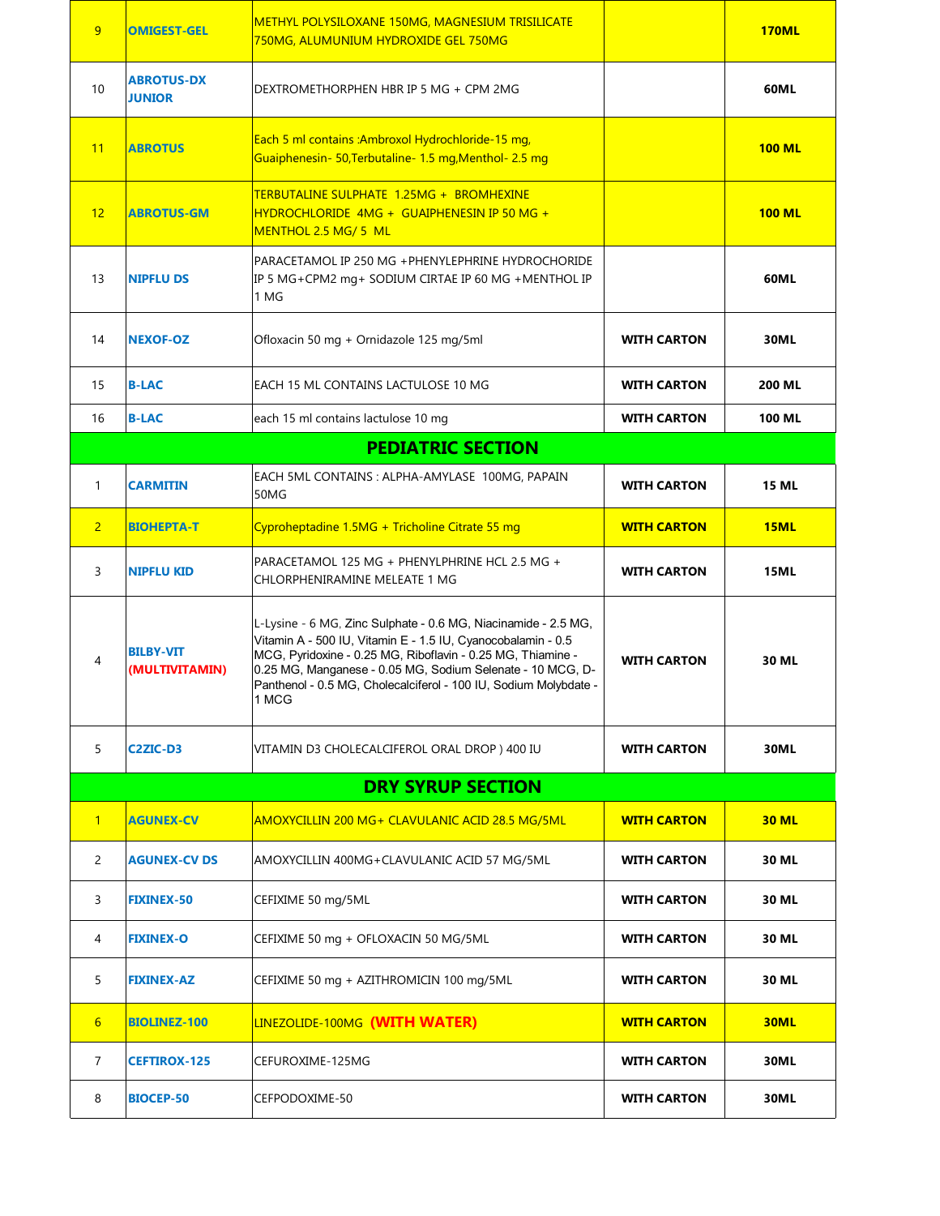| 9 <sup>°</sup>        | <b>OMIGEST-GEL</b>                 | METHYL POLYSILOXANE 150MG, MAGNESIUM TRISILICATE<br>750MG, ALUMUNIUM HYDROXIDE GEL 750MG                                                                                                                                                                                                                                                 |                    | <b>170ML</b>  |
|-----------------------|------------------------------------|------------------------------------------------------------------------------------------------------------------------------------------------------------------------------------------------------------------------------------------------------------------------------------------------------------------------------------------|--------------------|---------------|
| 10 <sup>°</sup>       | <b>ABROTUS-DX</b><br><b>JUNIOR</b> | DEXTROMETHORPHEN HBR IP 5 MG + CPM 2MG                                                                                                                                                                                                                                                                                                   |                    | 60ML          |
| 11                    | <b>ABROTUS</b>                     | Each 5 ml contains: Ambroxol Hydrochloride-15 mg,<br>Guaiphenesin- 50, Terbutaline- 1.5 mg, Menthol- 2.5 mg                                                                                                                                                                                                                              |                    | <b>100 ML</b> |
| 12                    | <b>ABROTUS-GM</b>                  | <b>TERBUTALINE SULPHATE 1.25MG + BROMHEXINE</b><br>HYDROCHLORIDE 4MG + GUAIPHENESIN IP 50 MG +<br>MENTHOL 2.5 MG/ 5 ML                                                                                                                                                                                                                   |                    | <b>100 ML</b> |
| 13                    | <b>NIPFLU DS</b>                   | PARACETAMOL IP 250 MG + PHENYLEPHRINE HYDROCHORIDE<br>IP 5 MG+CPM2 mg+ SODIUM CIRTAE IP 60 MG + MENTHOL IP<br>1 MG                                                                                                                                                                                                                       |                    | 60ML          |
| 14                    | <b>NEXOF-OZ</b>                    | Ofloxacin 50 mg + Ornidazole 125 mg/5ml                                                                                                                                                                                                                                                                                                  | <b>WITH CARTON</b> | 30ML          |
| 15                    | <b>B-LAC</b>                       | EACH 15 ML CONTAINS LACTULOSE 10 MG                                                                                                                                                                                                                                                                                                      | <b>WITH CARTON</b> | <b>200 ML</b> |
| 16                    | <b>B-LAC</b>                       | each 15 ml contains lactulose 10 mg                                                                                                                                                                                                                                                                                                      | <b>WITH CARTON</b> | <b>100 ML</b> |
|                       |                                    | <b>PEDIATRIC SECTION</b>                                                                                                                                                                                                                                                                                                                 |                    |               |
| 1                     | <b>CARMITIN</b>                    | EACH 5ML CONTAINS : ALPHA-AMYLASE 100MG, PAPAIN<br>50MG                                                                                                                                                                                                                                                                                  | <b>WITH CARTON</b> | <b>15 ML</b>  |
| $\overline{2}$        | <b>BIOHEPTA-T</b>                  | Cyproheptadine 1.5MG + Tricholine Citrate 55 mg                                                                                                                                                                                                                                                                                          | <b>WITH CARTON</b> | 15ML          |
| 3                     | <b>NIPFLU KID</b>                  | PARACETAMOL 125 MG + PHENYLPHRINE HCL 2.5 MG +<br>CHLORPHENIRAMINE MELEATE 1 MG                                                                                                                                                                                                                                                          | <b>WITH CARTON</b> | <b>15ML</b>   |
| 4                     | <b>BILBY-VIT</b><br>(MULTIVITAMIN) | L-Lysine - 6 MG, Zinc Sulphate - 0.6 MG, Niacinamide - 2.5 MG,<br>Vitamin A - 500 IU, Vitamin E - 1.5 IU, Cyanocobalamin - 0.5<br>MCG, Pyridoxine - 0.25 MG, Riboflavin - 0.25 MG, Thiamine -<br>0.25 MG, Manganese - 0.05 MG, Sodium Selenate - 10 MCG, D-<br>Panthenol - 0.5 MG, Cholecalciferol - 100 IU, Sodium Molybdate -<br>1 MCG | <b>WITH CARTON</b> | 30 ML         |
| 5                     | <b>C2ZIC-D3</b>                    | VITAMIN D3 CHOLECALCIFEROL ORAL DROP ) 400 IU                                                                                                                                                                                                                                                                                            | <b>WITH CARTON</b> | 30ML          |
|                       |                                    | <b>DRY SYRUP SECTION</b>                                                                                                                                                                                                                                                                                                                 |                    |               |
| $\mathbf{1}$          | <b>AGUNEX-CV</b>                   | AMOXYCILLIN 200 MG+ CLAVULANIC ACID 28.5 MG/5ML                                                                                                                                                                                                                                                                                          | <b>WITH CARTON</b> | <b>30 ML</b>  |
| $\mathbf{2}^{\prime}$ | <b>AGUNEX-CV DS</b>                | AMOXYCILLIN 400MG+CLAVULANIC ACID 57 MG/5ML                                                                                                                                                                                                                                                                                              | <b>WITH CARTON</b> | 30 ML         |
| 3                     | <b>FIXINEX-50</b>                  | CEFIXIME 50 mg/5ML                                                                                                                                                                                                                                                                                                                       | <b>WITH CARTON</b> | 30 ML         |
| 4                     | <b>FIXINEX-O</b>                   | CEFIXIME 50 mg + OFLOXACIN 50 MG/5ML                                                                                                                                                                                                                                                                                                     | <b>WITH CARTON</b> | 30 ML         |
| 5                     | <b>FIXINEX-AZ</b>                  | CEFIXIME 50 mg + AZITHROMICIN 100 mg/5ML                                                                                                                                                                                                                                                                                                 | <b>WITH CARTON</b> | 30 ML         |
| 6 <sup>1</sup>        | <b>BIOLINEZ-100</b>                | LINEZOLIDE-100MG (WITH WATER)                                                                                                                                                                                                                                                                                                            | <b>WITH CARTON</b> | <b>30ML</b>   |
| $\overline{7}$        | <b>CEFTIROX-125</b>                | CEFUROXIME-125MG                                                                                                                                                                                                                                                                                                                         | <b>WITH CARTON</b> | 30ML          |
| 8                     | <b>BIOCEP-50</b>                   | CEFPODOXIME-50                                                                                                                                                                                                                                                                                                                           | <b>WITH CARTON</b> | 30ML          |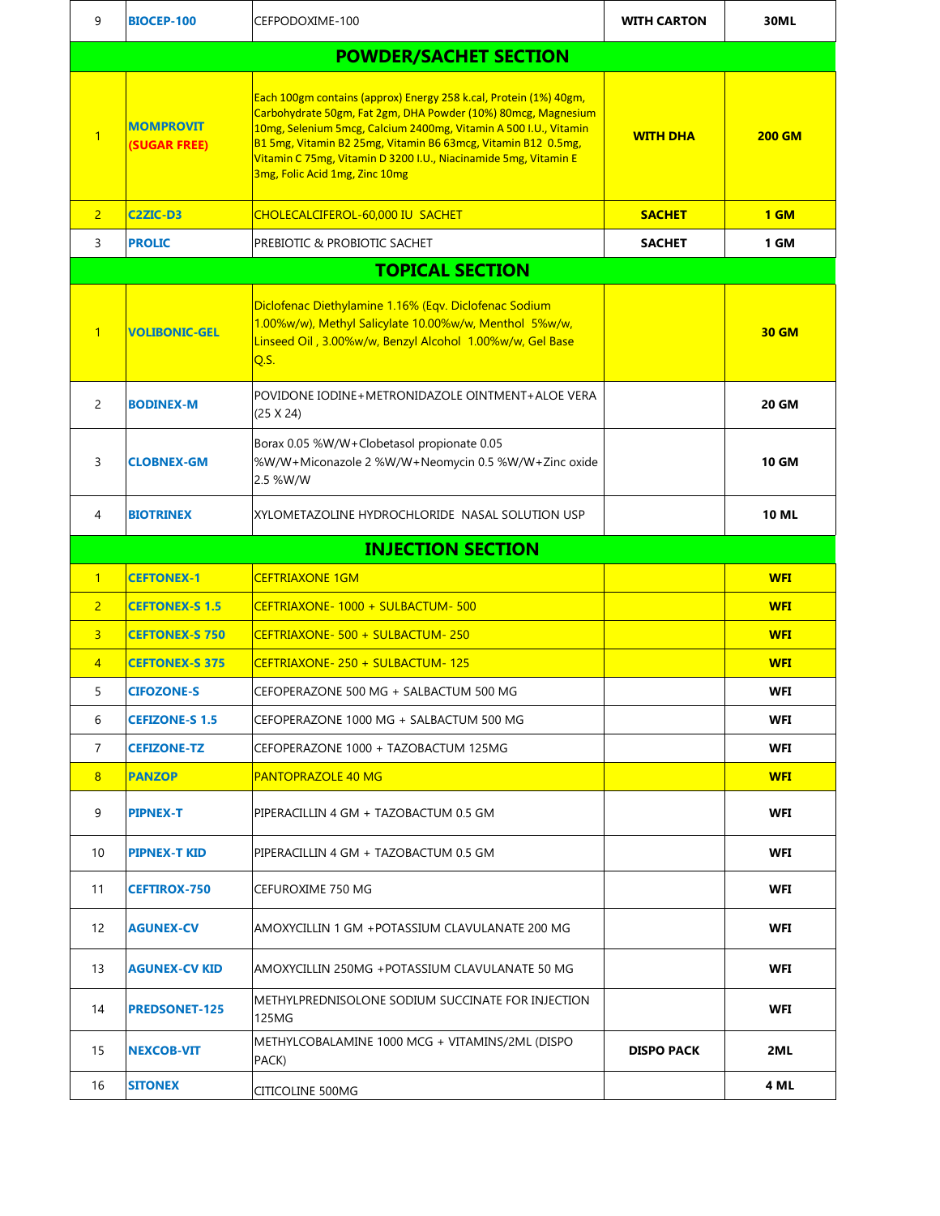| 9              | <b>BIOCEP-100</b>                 | CEFPODOXIME-100                                                                                                                                                                                                                                                                                                                                                              | <b>WITH CARTON</b> | 30ML          |  |  |
|----------------|-----------------------------------|------------------------------------------------------------------------------------------------------------------------------------------------------------------------------------------------------------------------------------------------------------------------------------------------------------------------------------------------------------------------------|--------------------|---------------|--|--|
|                | <b>POWDER/SACHET SECTION</b>      |                                                                                                                                                                                                                                                                                                                                                                              |                    |               |  |  |
| $\mathbf{1}$   | <b>MOMPROVIT</b><br>(SUGAR FREE)  | Each 100gm contains (approx) Energy 258 k.cal, Protein (1%) 40gm,<br>Carbohydrate 50gm, Fat 2gm, DHA Powder (10%) 80mcg, Magnesium<br>10mg, Selenium 5mcg, Calcium 2400mg, Vitamin A 500 I.U., Vitamin<br>B1 5mg, Vitamin B2 25mg, Vitamin B6 63mcg, Vitamin B12 0.5mg,<br>Vitamin C 75mg, Vitamin D 3200 I.U., Niacinamide 5mg, Vitamin E<br>3mg, Folic Acid 1mg, Zinc 10mg | <b>WITH DHA</b>    | <b>200 GM</b> |  |  |
| $\overline{2}$ | C <sub>2</sub> ZIC-D <sub>3</sub> | <b>CHOLECALCIFEROL-60,000 IU SACHET</b>                                                                                                                                                                                                                                                                                                                                      | <b>SACHET</b>      | 1 GM          |  |  |
| 3              | <b>PROLIC</b>                     | PREBIOTIC & PROBIOTIC SACHET                                                                                                                                                                                                                                                                                                                                                 | <b>SACHET</b>      | 1 GM          |  |  |
|                |                                   | <b>TOPICAL SECTION</b>                                                                                                                                                                                                                                                                                                                                                       |                    |               |  |  |
| $\mathbf{1}$   | <b>VOLIBONIC-GEL</b>              | Diclofenac Diethylamine 1.16% (Eqv. Diclofenac Sodium<br>1.00%w/w), Methyl Salicylate 10.00%w/w, Menthol 5%w/w,<br>Linseed Oil, 3.00%w/w, Benzyl Alcohol 1.00%w/w, Gel Base<br>Q.S.                                                                                                                                                                                          |                    | <b>30 GM</b>  |  |  |
| $\overline{2}$ | <b>BODINEX-M</b>                  | POVIDONE IODINE+METRONIDAZOLE OINTMENT+ALOE VERA<br>(25 X 24)                                                                                                                                                                                                                                                                                                                |                    | <b>20 GM</b>  |  |  |
| 3              | <b>CLOBNEX-GM</b>                 | Borax 0.05 %W/W+Clobetasol propionate 0.05<br>%W/W+Miconazole 2 %W/W+Neomycin 0.5 %W/W+Zinc oxide<br>2.5 %W/W                                                                                                                                                                                                                                                                |                    | <b>10 GM</b>  |  |  |
| 4              | <b>BIOTRINEX</b>                  | XYLOMETAZOLINE HYDROCHLORIDE NASAL SOLUTION USP                                                                                                                                                                                                                                                                                                                              |                    | <b>10 ML</b>  |  |  |
|                |                                   | <b>INJECTION SECTION</b>                                                                                                                                                                                                                                                                                                                                                     |                    |               |  |  |
| 1              | <b>CEFTONEX-1</b>                 | <b>CEFTRIAXONE 1GM</b>                                                                                                                                                                                                                                                                                                                                                       |                    | <b>WFI</b>    |  |  |
| $\overline{2}$ | <b>CEFTONEX-S 1.5</b>             | CEFTRIAXONE-1000 + SULBACTUM-500                                                                                                                                                                                                                                                                                                                                             |                    | <b>WFI</b>    |  |  |
| $\overline{3}$ | <b>CEFTONEX-S 750</b>             | CEFTRIAXONE- 500 + SULBACTUM-250                                                                                                                                                                                                                                                                                                                                             |                    | <b>WFI</b>    |  |  |
| $\overline{4}$ | <b>CEFTONEX-S 375</b>             | CEFTRIAXONE-250 + SULBACTUM-125                                                                                                                                                                                                                                                                                                                                              |                    | <b>WFI</b>    |  |  |
| 5              | <b>CIFOZONE-S</b>                 | CEFOPERAZONE 500 MG + SALBACTUM 500 MG                                                                                                                                                                                                                                                                                                                                       |                    | <b>WFI</b>    |  |  |
| 6              | <b>CEFIZONE-S 1.5</b>             | CEFOPERAZONE 1000 MG + SALBACTUM 500 MG                                                                                                                                                                                                                                                                                                                                      |                    | <b>WFI</b>    |  |  |
| $\overline{7}$ | <b>CEFIZONE-TZ</b>                | CEFOPERAZONE 1000 + TAZOBACTUM 125MG                                                                                                                                                                                                                                                                                                                                         |                    | <b>WFI</b>    |  |  |
| 8 <sup>°</sup> | <b>PANZOP</b>                     | <b>PANTOPRAZOLE 40 MG</b>                                                                                                                                                                                                                                                                                                                                                    |                    | <b>WFI</b>    |  |  |
| 9              | <b>PIPNEX-T</b>                   | PIPERACILLIN 4 GM + TAZOBACTUM 0.5 GM                                                                                                                                                                                                                                                                                                                                        |                    | WFI           |  |  |
| 10             | <b>PIPNEX-T KID</b>               | PIPERACILLIN 4 GM + TAZOBACTUM 0.5 GM                                                                                                                                                                                                                                                                                                                                        |                    | <b>WFI</b>    |  |  |
| 11             | <b>CEFTIROX-750</b>               | CEFUROXIME 750 MG                                                                                                                                                                                                                                                                                                                                                            |                    | WFI           |  |  |
| 12             | <b>AGUNEX-CV</b>                  | AMOXYCILLIN 1 GM +POTASSIUM CLAVULANATE 200 MG                                                                                                                                                                                                                                                                                                                               |                    | WFI           |  |  |
| 13             | <b>AGUNEX-CV KID</b>              | AMOXYCILLIN 250MG +POTASSIUM CLAVULANATE 50 MG                                                                                                                                                                                                                                                                                                                               |                    | <b>WFI</b>    |  |  |
| 14             | <b>PREDSONET-125</b>              | METHYLPREDNISOLONE SODIUM SUCCINATE FOR INJECTION<br>125MG                                                                                                                                                                                                                                                                                                                   |                    | WFI           |  |  |
| 15             | <b>NEXCOB-VIT</b>                 | METHYLCOBALAMINE 1000 MCG + VITAMINS/2ML (DISPO<br>PACK)                                                                                                                                                                                                                                                                                                                     | <b>DISPO PACK</b>  | 2ML           |  |  |
| 16             | <b>SITONEX</b>                    | CITICOLINE 500MG                                                                                                                                                                                                                                                                                                                                                             |                    | 4 ML          |  |  |